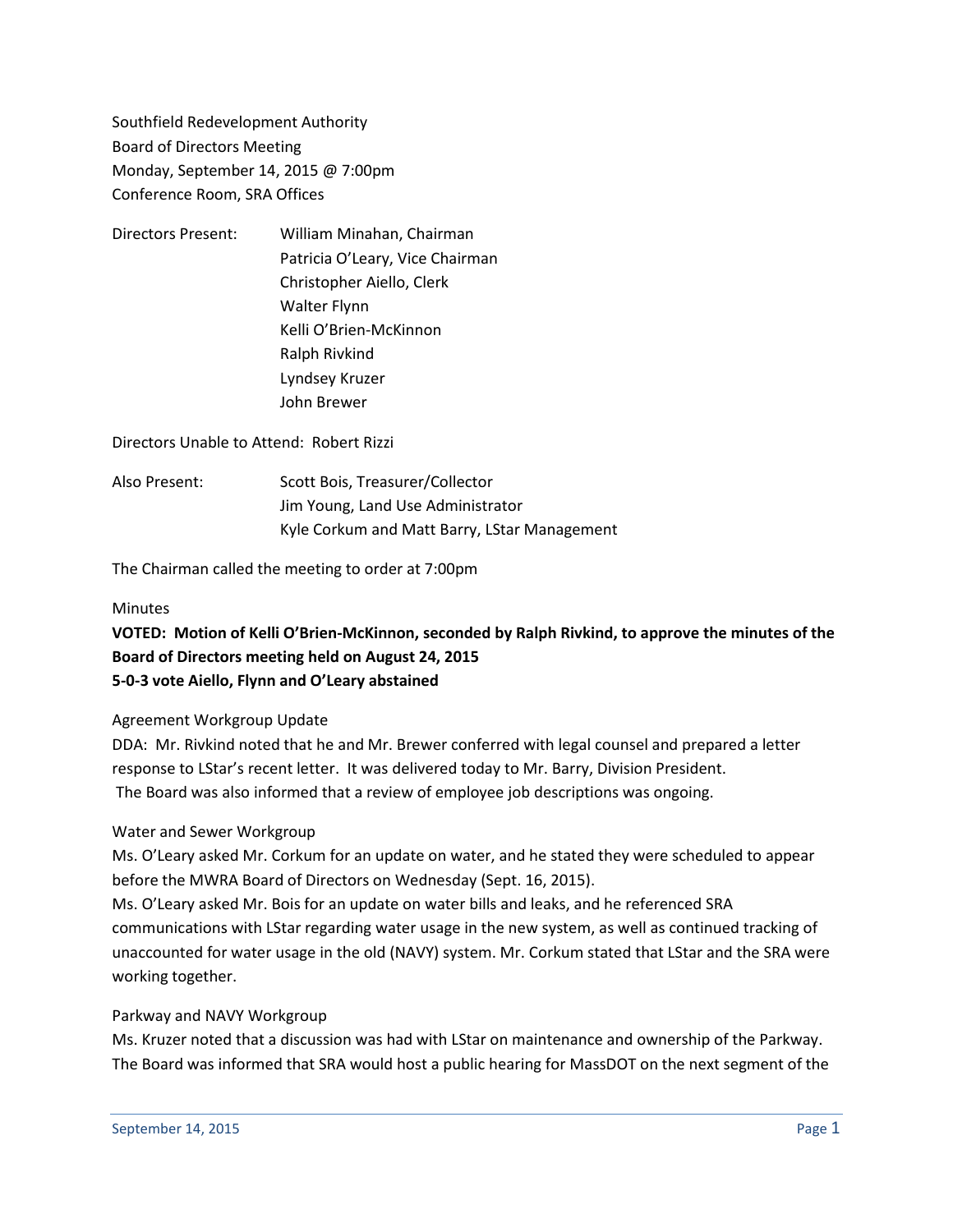Southfield Redevelopment Authority Board of Directors Meeting Monday, September 14, 2015 @ 7:00pm Conference Room, SRA Offices

Directors Present: William Minahan, Chairman Patricia O'Leary, Vice Chairman Christopher Aiello, Clerk Walter Flynn Kelli O'Brien-McKinnon Ralph Rivkind Lyndsey Kruzer John Brewer

Directors Unable to Attend: Robert Rizzi

Also Present: Scott Bois, Treasurer/Collector Jim Young, Land Use Administrator Kyle Corkum and Matt Barry, LStar Management

The Chairman called the meeting to order at 7:00pm

#### **Minutes**

## **VOTED: Motion of Kelli O'Brien-McKinnon, seconded by Ralph Rivkind, to approve the minutes of the Board of Directors meeting held on August 24, 2015 5-0-3 vote Aiello, Flynn and O'Leary abstained**

### Agreement Workgroup Update

DDA: Mr. Rivkind noted that he and Mr. Brewer conferred with legal counsel and prepared a letter response to LStar's recent letter. It was delivered today to Mr. Barry, Division President. The Board was also informed that a review of employee job descriptions was ongoing.

### Water and Sewer Workgroup

Ms. O'Leary asked Mr. Corkum for an update on water, and he stated they were scheduled to appear before the MWRA Board of Directors on Wednesday (Sept. 16, 2015).

Ms. O'Leary asked Mr. Bois for an update on water bills and leaks, and he referenced SRA communications with LStar regarding water usage in the new system, as well as continued tracking of unaccounted for water usage in the old (NAVY) system. Mr. Corkum stated that LStar and the SRA were working together.

### Parkway and NAVY Workgroup

Ms. Kruzer noted that a discussion was had with LStar on maintenance and ownership of the Parkway. The Board was informed that SRA would host a public hearing for MassDOT on the next segment of the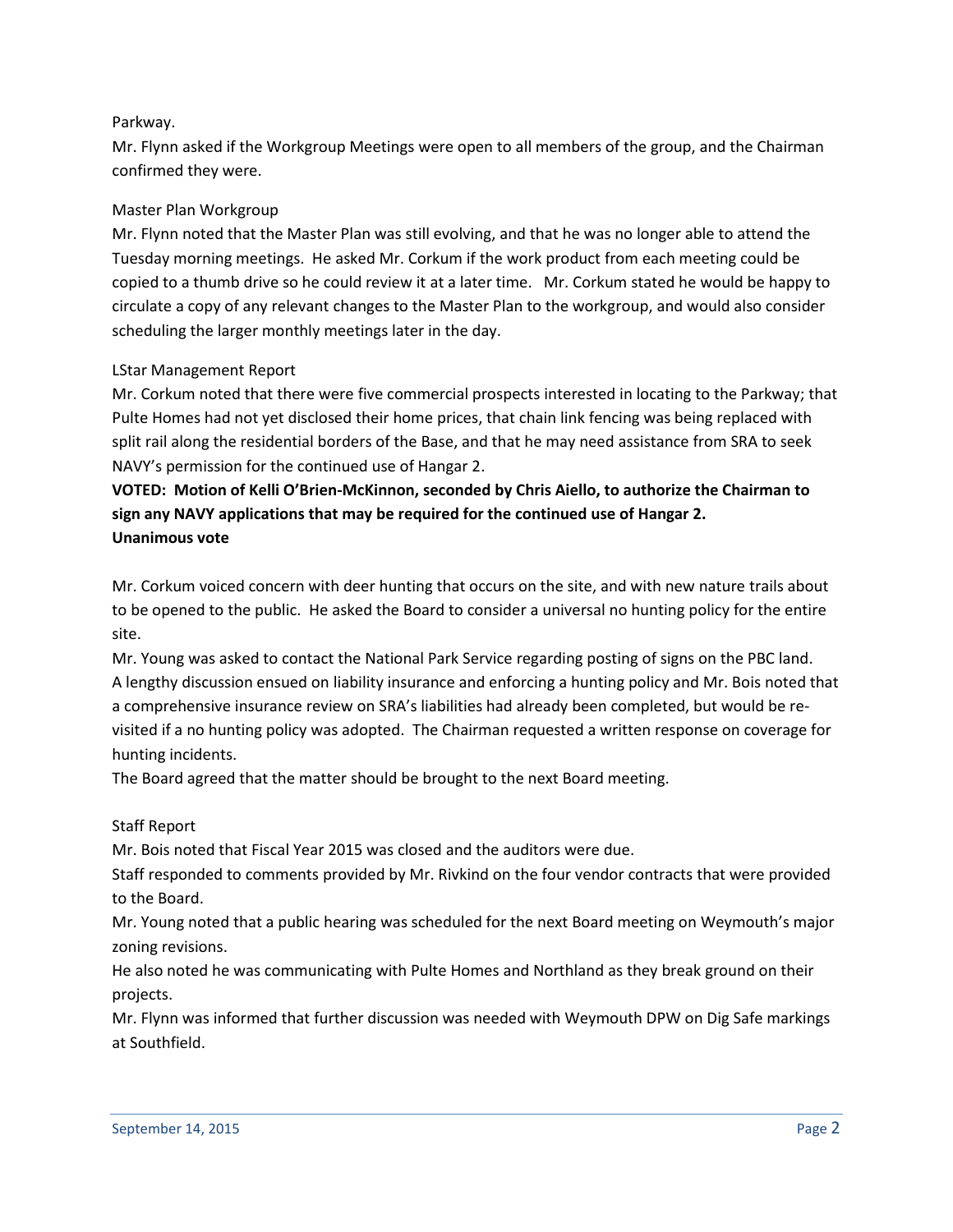## Parkway.

Mr. Flynn asked if the Workgroup Meetings were open to all members of the group, and the Chairman confirmed they were.

## Master Plan Workgroup

Mr. Flynn noted that the Master Plan was still evolving, and that he was no longer able to attend the Tuesday morning meetings. He asked Mr. Corkum if the work product from each meeting could be copied to a thumb drive so he could review it at a later time. Mr. Corkum stated he would be happy to circulate a copy of any relevant changes to the Master Plan to the workgroup, and would also consider scheduling the larger monthly meetings later in the day.

## LStar Management Report

Mr. Corkum noted that there were five commercial prospects interested in locating to the Parkway; that Pulte Homes had not yet disclosed their home prices, that chain link fencing was being replaced with split rail along the residential borders of the Base, and that he may need assistance from SRA to seek NAVY's permission for the continued use of Hangar 2.

# **VOTED: Motion of Kelli O'Brien-McKinnon, seconded by Chris Aiello, to authorize the Chairman to sign any NAVY applications that may be required for the continued use of Hangar 2. Unanimous vote**

Mr. Corkum voiced concern with deer hunting that occurs on the site, and with new nature trails about to be opened to the public. He asked the Board to consider a universal no hunting policy for the entire site.

Mr. Young was asked to contact the National Park Service regarding posting of signs on the PBC land. A lengthy discussion ensued on liability insurance and enforcing a hunting policy and Mr. Bois noted that a comprehensive insurance review on SRA's liabilities had already been completed, but would be revisited if a no hunting policy was adopted. The Chairman requested a written response on coverage for hunting incidents.

The Board agreed that the matter should be brought to the next Board meeting.

### Staff Report

Mr. Bois noted that Fiscal Year 2015 was closed and the auditors were due.

Staff responded to comments provided by Mr. Rivkind on the four vendor contracts that were provided to the Board.

Mr. Young noted that a public hearing was scheduled for the next Board meeting on Weymouth's major zoning revisions.

He also noted he was communicating with Pulte Homes and Northland as they break ground on their projects.

Mr. Flynn was informed that further discussion was needed with Weymouth DPW on Dig Safe markings at Southfield.